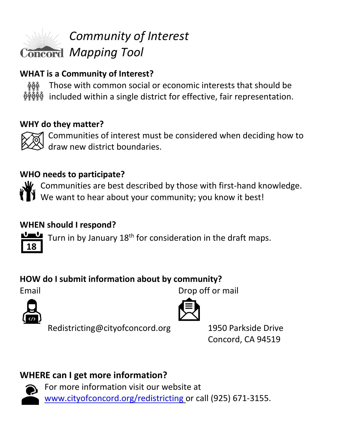

## **WHAT is a Community of Interest?**

Those with common social or economic interests that should be ଳୁଡୁଞ୍ଜ  $\frac{\delta}{\gamma}$  included within a single district for effective, fair representation.

#### **WHY do they matter?**



Communities of interest must be considered when deciding how to draw new district boundaries.

#### **WHO needs to participate?**

 $\mathbf{W}$  Communities are best described by those with first-hand knowledge.  $\mathbf \mathbf 1$  We want to hear about your community; you know it best!

### **WHEN should I respond?**

Turn in by January 18<sup>th</sup> for consideration in the draft maps.

## **HOW do I submit information about by community?**

Email Drop off or mail

**18**



Redistricting@cityofconcord.org 1950 Parkside Drive



Concord, CA 94519

# **WHERE can I get more information?**



For more information visit our website at [www.cityofconcord.org/redistricting](http://www.cityofconcord.org/redistricting) or call (925) 671-3155.